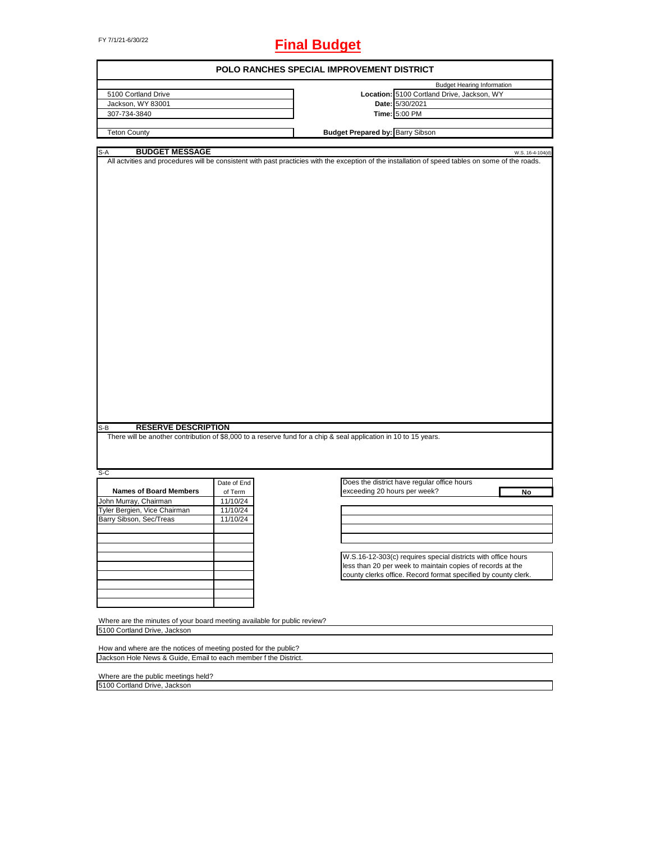# FY 7/1/21-6/30/22 **Final Budget**

| POLO RANCHES SPECIAL IMPROVEMENT DISTRICT                                                                                                             |             |                                         |                                                                                                                                                   |  |  |  |
|-------------------------------------------------------------------------------------------------------------------------------------------------------|-------------|-----------------------------------------|---------------------------------------------------------------------------------------------------------------------------------------------------|--|--|--|
|                                                                                                                                                       |             |                                         | <b>Budget Hearing Information</b>                                                                                                                 |  |  |  |
| 5100 Cortland Drive                                                                                                                                   |             |                                         | Location: 5100 Cortland Drive, Jackson, WY                                                                                                        |  |  |  |
| Jackson, WY 83001                                                                                                                                     |             |                                         | Date: 5/30/2021                                                                                                                                   |  |  |  |
| 307-734-3840                                                                                                                                          |             |                                         | Time: 5:00 PM                                                                                                                                     |  |  |  |
| <b>Teton County</b>                                                                                                                                   |             | <b>Budget Prepared by: Barry Sibson</b> |                                                                                                                                                   |  |  |  |
|                                                                                                                                                       |             |                                         |                                                                                                                                                   |  |  |  |
| <b>BUDGET MESSAGE</b><br>S-A                                                                                                                          |             |                                         | W.S. 16-4-104(d)                                                                                                                                  |  |  |  |
|                                                                                                                                                       |             |                                         | All actvities and procedures will be consistent with past practicies with the exception of the installation of speed tables on some of the roads. |  |  |  |
| <b>RESERVE DESCRIPTION</b><br>S-B<br>There will be another contribution of \$8,000 to a reserve fund for a chip & seal application in 10 to 15 years. |             |                                         |                                                                                                                                                   |  |  |  |
|                                                                                                                                                       |             |                                         |                                                                                                                                                   |  |  |  |
| $S-C$                                                                                                                                                 | Date of End |                                         | Does the district have regular office hours                                                                                                       |  |  |  |
| <b>Names of Board Members</b>                                                                                                                         | of Term     | exceeding 20 hours per week?            | No                                                                                                                                                |  |  |  |
| John Murray, Chairman                                                                                                                                 | 11/10/24    |                                         |                                                                                                                                                   |  |  |  |
| Tyler Bergien, Vice Chairman                                                                                                                          | 11/10/24    |                                         |                                                                                                                                                   |  |  |  |
| Barry Sibson, Sec/Treas                                                                                                                               | 11/10/24    |                                         |                                                                                                                                                   |  |  |  |
|                                                                                                                                                       |             |                                         |                                                                                                                                                   |  |  |  |
|                                                                                                                                                       |             |                                         |                                                                                                                                                   |  |  |  |
|                                                                                                                                                       |             |                                         |                                                                                                                                                   |  |  |  |
|                                                                                                                                                       |             |                                         | W.S.16-12-303(c) requires special districts with office hours                                                                                     |  |  |  |
|                                                                                                                                                       |             |                                         | less than 20 per week to maintain copies of records at the                                                                                        |  |  |  |
|                                                                                                                                                       |             |                                         | county clerks office. Record format specified by county clerk.                                                                                    |  |  |  |
|                                                                                                                                                       |             |                                         |                                                                                                                                                   |  |  |  |
|                                                                                                                                                       |             |                                         |                                                                                                                                                   |  |  |  |
|                                                                                                                                                       |             |                                         |                                                                                                                                                   |  |  |  |
|                                                                                                                                                       |             |                                         |                                                                                                                                                   |  |  |  |
| Where are the minutes of your board meeting available for public review?<br>5100 Cortland Drive, Jackson                                              |             |                                         |                                                                                                                                                   |  |  |  |
|                                                                                                                                                       |             |                                         |                                                                                                                                                   |  |  |  |
| How and where are the notices of meeting posted for the public?<br>Jackson Hole News & Guide, Email to each member f the District.                    |             |                                         |                                                                                                                                                   |  |  |  |
|                                                                                                                                                       |             |                                         |                                                                                                                                                   |  |  |  |
| Where are the public meetings held?                                                                                                                   |             |                                         |                                                                                                                                                   |  |  |  |

 $\overline{\phantom{a}}$ 

5100 Cortland Drive, Jackson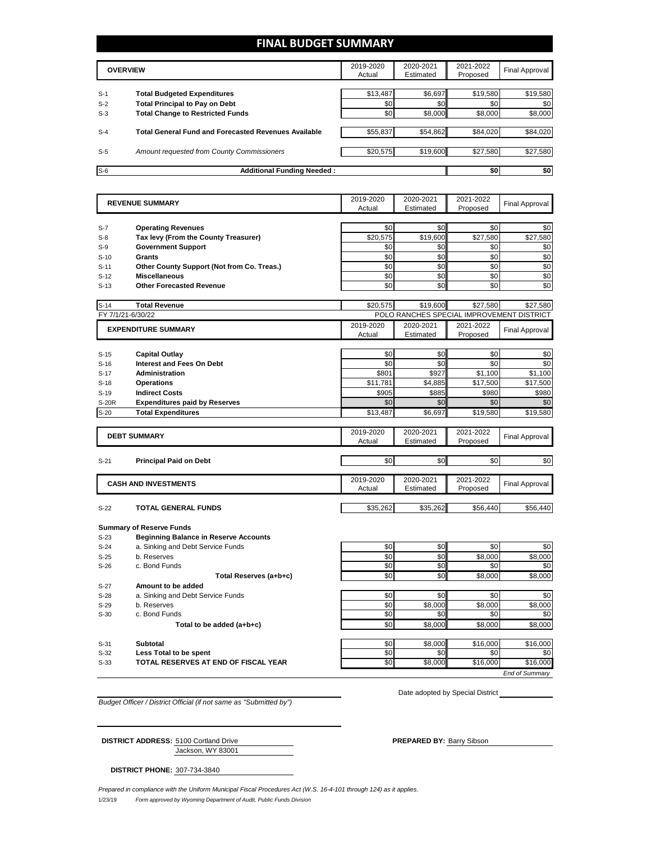## **FINAL BUDGET SUMMARY**

|       | <b>OVERVIEW</b>                                             | 2019-2020<br>Actual | 2020-2021<br>Estimated | 2021-2022<br>Proposed | Final Approval |
|-------|-------------------------------------------------------------|---------------------|------------------------|-----------------------|----------------|
|       |                                                             |                     |                        |                       |                |
| $S-1$ | <b>Total Budgeted Expenditures</b>                          | \$13,487            | \$6,697                | \$19,580              | \$19,580       |
| $S-2$ | <b>Total Principal to Pay on Debt</b>                       | \$0                 | \$0                    | \$0                   | \$0            |
| $S-3$ | <b>Total Change to Restricted Funds</b>                     | \$0                 | \$8,000                | \$8,000               | \$8,000        |
|       |                                                             |                     |                        |                       |                |
| $S-4$ | <b>Total General Fund and Forecasted Revenues Available</b> | \$55,837            | \$54,862               | \$84,020              | \$84,020       |
|       |                                                             |                     |                        |                       |                |
| $S-5$ | Amount requested from County Commissioners                  | \$20,575            | \$19,600               | \$27,580              | \$27,580       |
|       |                                                             |                     |                        |                       |                |
| $S-6$ | <b>Additional Funding Needed:</b>                           |                     |                        | \$0                   | \$0            |

| <b>REVENUE SUMMARY</b> |                                              | 2019-2020       | 2020-2021                                 | 2021-2022 | <b>Final Approval</b> |
|------------------------|----------------------------------------------|-----------------|-------------------------------------------|-----------|-----------------------|
|                        |                                              | Actual          | Estimated                                 | Proposed  |                       |
|                        |                                              |                 |                                           |           |                       |
| $S-7$                  | <b>Operating Revenues</b>                    | \$0             | \$0                                       | \$0       | \$0                   |
| $S-8$                  | Tax levy (From the County Treasurer)         | \$20,575        | \$19,600                                  | \$27,580  | \$27,580              |
| $S-9$                  | <b>Government Support</b>                    | \$0             | \$0                                       | \$0       | \$0                   |
| $S-10$                 | Grants                                       | \$0             | \$0                                       | \$0       | \$0                   |
| $S-11$                 | Other County Support (Not from Co. Treas.)   | \$0             | \$0                                       | \$0       | \$0                   |
| $S-12$                 | <b>Miscellaneous</b>                         | \$0             | \$0                                       | \$0       | \$0                   |
| $S-13$                 | <b>Other Forecasted Revenue</b>              | \$0             | \$0                                       | \$0       | \$0                   |
|                        |                                              |                 |                                           |           |                       |
| $S-14$                 | <b>Total Revenue</b>                         | \$20,575        | \$19,600                                  | \$27,580  | \$27,580              |
| FY 7/1/21-6/30/22      |                                              |                 | POLO RANCHES SPECIAL IMPROVEMENT DISTRICT |           |                       |
|                        | <b>EXPENDITURE SUMMARY</b>                   | 2019-2020       | 2020-2021                                 | 2021-2022 | <b>Final Approval</b> |
|                        |                                              | Actual          | Estimated                                 | Proposed  |                       |
|                        |                                              |                 |                                           |           |                       |
| $S-15$                 | <b>Capital Outlay</b>                        | \$0             | \$0                                       | \$0       | \$0                   |
| $S-16$                 | <b>Interest and Fees On Debt</b>             | \$0             | \$0                                       | \$0       | \$0                   |
| $S-17$                 | <b>Administration</b>                        | \$801           | \$927                                     | \$1,100   | \$1,100               |
| $S-18$                 | <b>Operations</b>                            | \$11,781        | \$4,885                                   | \$17,500  | \$17,500              |
| $S-19$                 | <b>Indirect Costs</b>                        | \$905           | \$885                                     | \$980     | \$980                 |
| <b>S-20R</b>           | <b>Expenditures paid by Reserves</b>         | \$0             | \$0                                       | \$0       | \$0                   |
| $S-20$                 | <b>Total Expenditures</b>                    | \$13,487        | \$6,697                                   | \$19,580  | \$19,580              |
|                        |                                              |                 |                                           |           |                       |
|                        | <b>DEBT SUMMARY</b>                          | 2019-2020       | 2020-2021                                 | 2021-2022 | <b>Final Approval</b> |
|                        |                                              | Actual          | Estimated                                 | Proposed  |                       |
| $S-21$                 | <b>Principal Paid on Debt</b>                | \$0             | \$0                                       | \$0       | \$0                   |
|                        |                                              |                 |                                           |           |                       |
|                        |                                              | 2019-2020       | 2020-2021                                 | 2021-2022 |                       |
|                        | <b>CASH AND INVESTMENTS</b>                  | Actual          | Estimated                                 | Proposed  | <b>Final Approval</b> |
|                        |                                              |                 |                                           |           |                       |
| $S-22$                 | <b>TOTAL GENERAL FUNDS</b>                   | \$35,262        | \$35,262                                  | \$56,440  | \$56,440              |
|                        |                                              |                 |                                           |           |                       |
|                        | <b>Summary of Reserve Funds</b>              |                 |                                           |           |                       |
| $S-23$                 | <b>Beginning Balance in Reserve Accounts</b> |                 |                                           |           |                       |
| $S-24$                 | a. Sinking and Debt Service Funds            | \$0             | \$0                                       | \$0       | \$0                   |
| $S-25$                 | b. Reserves                                  | \$0             | \$0                                       | \$8,000   | \$8,000               |
| $S-26$                 | c. Bond Funds                                | \$0             | \$0                                       | \$0       | \$0                   |
|                        | Total Reserves (a+b+c)                       | \$0             | \$0                                       | \$8,000   | \$8,000               |
| $S-27$                 | Amount to be added                           |                 |                                           |           |                       |
| $S-28$                 | a. Sinking and Debt Service Funds            | \$0             | \$0                                       | \$0       | \$0                   |
| $S-29$                 | b. Reserves                                  | \$0             | \$8.000                                   | \$8.000   | \$8.000               |
| $S-30$                 | c. Bond Funds                                | \$0             | \$0                                       | \$0       | \$0                   |
|                        | Total to be added (a+b+c)                    | \$0             | \$8,000                                   | \$8,000   | \$8,000               |
|                        |                                              |                 |                                           |           |                       |
| $S-31$                 | <b>Subtotal</b>                              | \$0             | \$8,000                                   | \$16,000  | \$16,000              |
| $S-32$                 | <b>Less Total to be spent</b>                | \$0             | \$0                                       | \$0       | \$0                   |
| $S-33$                 | <b>TOTAL RESERVES AT END OF FISCAL YEAR</b>  | $\overline{50}$ | \$8,000                                   | \$16,000  | \$16,000              |
|                        |                                              |                 |                                           |           | End of Summary        |

*Budget Officer / District Official (if not same as "Submitted by")*

Date adopted by Special District

Jackson, WY 83001

**DISTRICT ADDRESS:** 5100 Cortland Drive **PREPARED BY:** PREPARED BY: Barry Sibson

**DISTRICT PHONE:** 307-734-3840

1/23/19 *Form approved by Wyoming Department of Audit, Public Funds Division Prepared in compliance with the Uniform Municipal Fiscal Procedures Act (W.S. 16-4-101 through 124) as it applies.*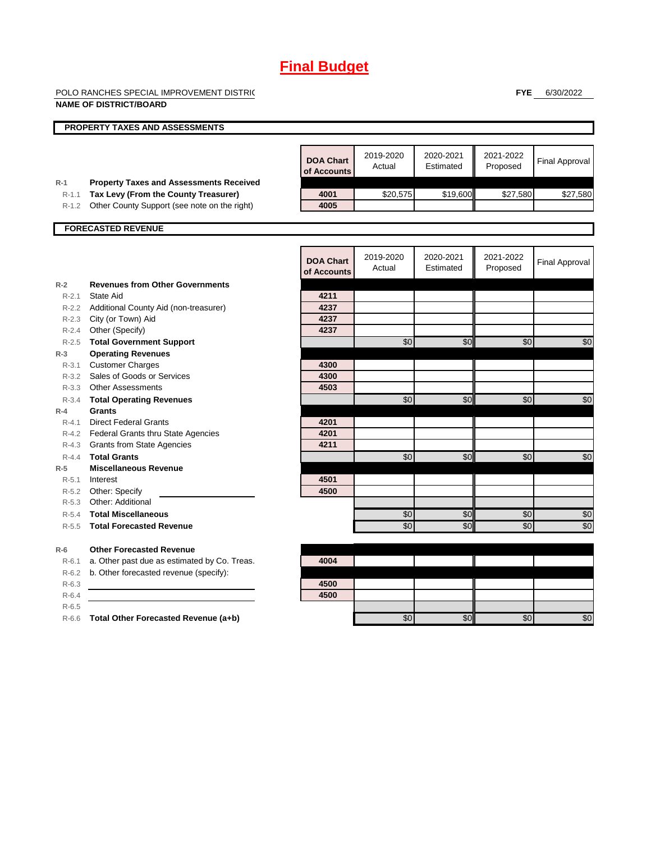POLO RANCHES SPECIAL IMPROVEMENT DISTRIC

**FYE** 6/30/2022

|                  | <b>NAME OF DISTRICT/BOARD</b>                  |                  |           |                 |           |                       |
|------------------|------------------------------------------------|------------------|-----------|-----------------|-----------|-----------------------|
|                  | PROPERTY TAXES AND ASSESSMENTS                 |                  |           |                 |           |                       |
|                  |                                                | <b>DOA Chart</b> | 2019-2020 | 2020-2021       | 2021-2022 | <b>Final Approval</b> |
|                  |                                                | of Accounts      | Actual    | Estimated       | Proposed  |                       |
| $R-1$            | <b>Property Taxes and Assessments Received</b> |                  |           |                 |           |                       |
| $R - 1.1$        | Tax Levy (From the County Treasurer)           | 4001             | \$20,575  | \$19,600        | \$27,580  | \$27,580              |
| R-1.2            | Other County Support (see note on the right)   | 4005             |           |                 |           |                       |
|                  | <b>FORECASTED REVENUE</b>                      |                  |           |                 |           |                       |
|                  |                                                |                  |           |                 |           |                       |
|                  |                                                | <b>DOA Chart</b> | 2019-2020 | 2020-2021       | 2021-2022 |                       |
|                  |                                                | of Accounts      | Actual    | Estimated       | Proposed  | <b>Final Approval</b> |
| $R-2$            | <b>Revenues from Other Governments</b>         |                  |           |                 |           |                       |
| $R - 2.1$        | State Aid                                      | 4211             |           |                 |           |                       |
|                  | R-2.2 Additional County Aid (non-treasurer)    | 4237             |           |                 |           |                       |
|                  | R-2.3 City (or Town) Aid                       | 4237             |           |                 |           |                       |
|                  | R-2.4 Other (Specify)                          | 4237             |           |                 |           |                       |
|                  | R-2.5 Total Government Support                 |                  | \$0       | \$0             | \$0       | \$0                   |
| $R-3$            | <b>Operating Revenues</b>                      |                  |           |                 |           |                       |
| $R - 3.1$        | <b>Customer Charges</b>                        | 4300             |           |                 |           |                       |
|                  | R-3.2 Sales of Goods or Services               | 4300             |           |                 |           |                       |
|                  | R-3.3 Other Assessments                        | 4503             |           | \$0             |           |                       |
| $R-3.4$<br>$R-4$ | <b>Total Operating Revenues</b><br>Grants      |                  | \$0       |                 | \$0       | \$0                   |
| $R - 4.1$        | <b>Direct Federal Grants</b>                   | 4201             |           |                 |           |                       |
|                  | R-4.2 Federal Grants thru State Agencies       | 4201             |           |                 |           |                       |
|                  | R-4.3 Grants from State Agencies               | 4211             |           |                 |           |                       |
| $R - 4.4$        | <b>Total Grants</b>                            |                  | \$0       | \$0             | \$0       | \$0                   |
| $R-5$            | <b>Miscellaneous Revenue</b>                   |                  |           |                 |           |                       |
| R-5.1            | Interest                                       | 4501             |           |                 |           |                       |
|                  | R-5.2 Other: Specify                           | 4500             |           |                 |           |                       |
|                  | R-5.3 Other: Additional                        |                  |           |                 |           |                       |
| $R - 5.4$        | <b>Total Miscellaneous</b>                     |                  | \$0       | \$0             | \$0       | \$0                   |
| $R - 5.5$        | <b>Total Forecasted Revenue</b>                |                  | \$0       | $\overline{30}$ | \$0       | \$0                   |
| $R-6$            | <b>Other Forecasted Revenue</b>                |                  |           |                 |           |                       |
| $R-6.1$          | a. Other past due as estimated by Co. Treas.   | 4004             |           |                 |           |                       |
| $R-6.2$          | b. Other forecasted revenue (specify):         |                  |           |                 |           |                       |
| $R-6.3$          |                                                | 4500             |           |                 |           |                       |
| $R-6.4$          |                                                | 4500             |           |                 |           |                       |
| $R - 6.5$        |                                                |                  |           |                 |           |                       |
| $R-6.6$          | Total Other Forecasted Revenue (a+b)           |                  | \$0       | \$0             | \$0       | \$0                   |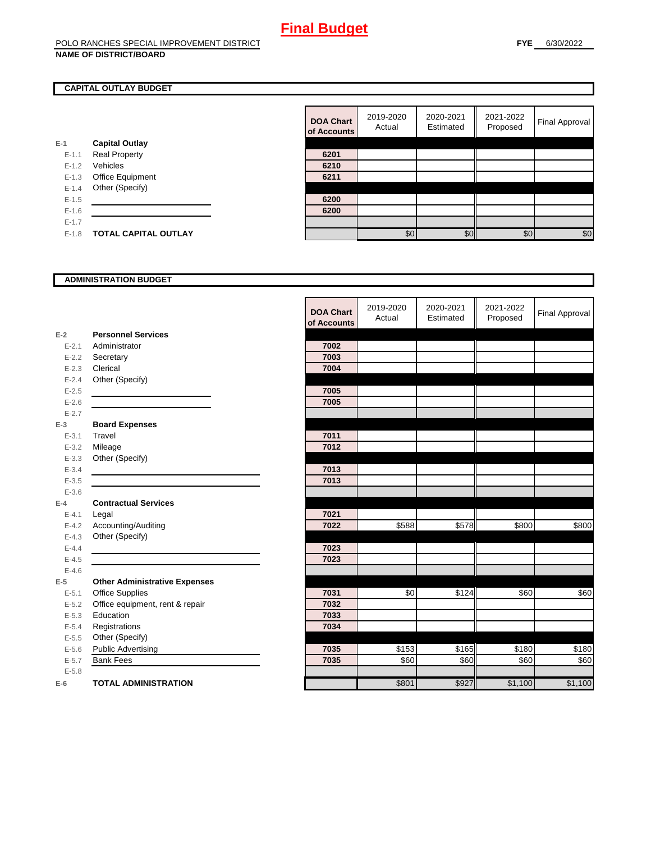#### POLO RANCHES SPECIAL IMPROVEMENT DISTRICT **NAME OF DISTRICT/BOARD**

### **CAPITAL OUTLAY BUDGET**

| $E-1$     | <b>Capital Outlay</b>       |      |
|-----------|-----------------------------|------|
| $E - 1.1$ | <b>Real Property</b>        | 6201 |
| $E - 1.2$ | Vehicles                    | 6210 |
| $E-1.3$   | <b>Office Equipment</b>     | 6211 |
| $E - 1.4$ | Other (Specify)             |      |
| $E - 1.5$ |                             | 6200 |
| $E - 1.6$ |                             | 6200 |
| $E - 1.7$ |                             |      |
| $E - 1.8$ | <b>TOTAL CAPITAL OUTLAY</b> |      |
|           |                             |      |

| <b>DOA Chart</b><br>of Accounts | 2019-2020<br>Actual | 2020-2021<br>Estimated | 2021-2022<br>Proposed | Final Approval |
|---------------------------------|---------------------|------------------------|-----------------------|----------------|
|                                 |                     |                        |                       |                |
| 6201                            |                     |                        |                       |                |
| 6210                            |                     |                        |                       |                |
| 6211                            |                     |                        |                       |                |
|                                 |                     |                        |                       |                |
| 6200                            |                     |                        |                       |                |
| 6200                            |                     |                        |                       |                |
|                                 |                     |                        |                       |                |
|                                 | \$0                 | ፍር                     | \$0                   | \$0            |

### **ADMINISTRATION BUDGET**

|           |                                      | <b>DOA Chart</b><br>of Accounts | 2019-2020<br>Actual | 2020-2021<br>Estimated | 2021-2022<br>Proposed | <b>Final Approval</b> |
|-----------|--------------------------------------|---------------------------------|---------------------|------------------------|-----------------------|-----------------------|
| $E-2$     | <b>Personnel Services</b>            |                                 |                     |                        |                       |                       |
| $E - 2.1$ | Administrator                        | 7002                            |                     |                        |                       |                       |
| $E - 2.2$ | Secretary                            | 7003                            |                     |                        |                       |                       |
| $E - 2.3$ | Clerical                             | 7004                            |                     |                        |                       |                       |
| $E - 2.4$ | Other (Specify)                      |                                 |                     |                        |                       |                       |
| $E-2.5$   |                                      | 7005                            |                     |                        |                       |                       |
| $E-2.6$   |                                      | 7005                            |                     |                        |                       |                       |
| $E - 2.7$ |                                      |                                 |                     |                        |                       |                       |
| $E-3$     | <b>Board Expenses</b>                |                                 |                     |                        |                       |                       |
| $E - 3.1$ | Travel                               | 7011                            |                     |                        |                       |                       |
| $E - 3.2$ | Mileage                              | 7012                            |                     |                        |                       |                       |
| $E - 3.3$ | Other (Specify)                      |                                 |                     |                        |                       |                       |
| $E - 3.4$ |                                      | 7013                            |                     |                        |                       |                       |
| $E - 3.5$ |                                      | 7013                            |                     |                        |                       |                       |
| $E - 3.6$ |                                      |                                 |                     |                        |                       |                       |
| $E-4$     | <b>Contractual Services</b>          |                                 |                     |                        |                       |                       |
| $E - 4.1$ | Legal                                | 7021                            |                     |                        |                       |                       |
| $E - 4.2$ | Accounting/Auditing                  | 7022                            | \$588               | \$578                  | \$800                 | \$800                 |
| $E - 4.3$ | Other (Specify)                      |                                 |                     |                        |                       |                       |
| $E-4.4$   |                                      | 7023                            |                     |                        |                       |                       |
| $E-4.5$   |                                      | 7023                            |                     |                        |                       |                       |
| $E-4.6$   |                                      |                                 |                     |                        |                       |                       |
| $E-5$     | <b>Other Administrative Expenses</b> |                                 |                     |                        |                       |                       |
| $E - 5.1$ | <b>Office Supplies</b>               | 7031                            | \$0                 | \$124                  | \$60                  | \$60                  |
| $E - 5.2$ | Office equipment, rent & repair      | 7032                            |                     |                        |                       |                       |
| $E - 5.3$ | Education                            | 7033                            |                     |                        |                       |                       |
| $E - 5.4$ | Registrations                        | 7034                            |                     |                        |                       |                       |
| $E - 5.5$ | Other (Specify)                      |                                 |                     |                        |                       |                       |
| $E - 5.6$ | <b>Public Advertising</b>            | 7035                            | \$153               | \$165                  | \$180                 | \$180                 |
| $E - 5.7$ | <b>Bank Fees</b>                     | 7035                            | \$60                | \$60                   | \$60                  | \$60                  |
| $E - 5.8$ |                                      |                                 |                     |                        |                       |                       |
| $E-6$     | <b>TOTAL ADMINISTRATION</b>          |                                 | \$801               | \$927                  | \$1,100               | \$1,100               |

r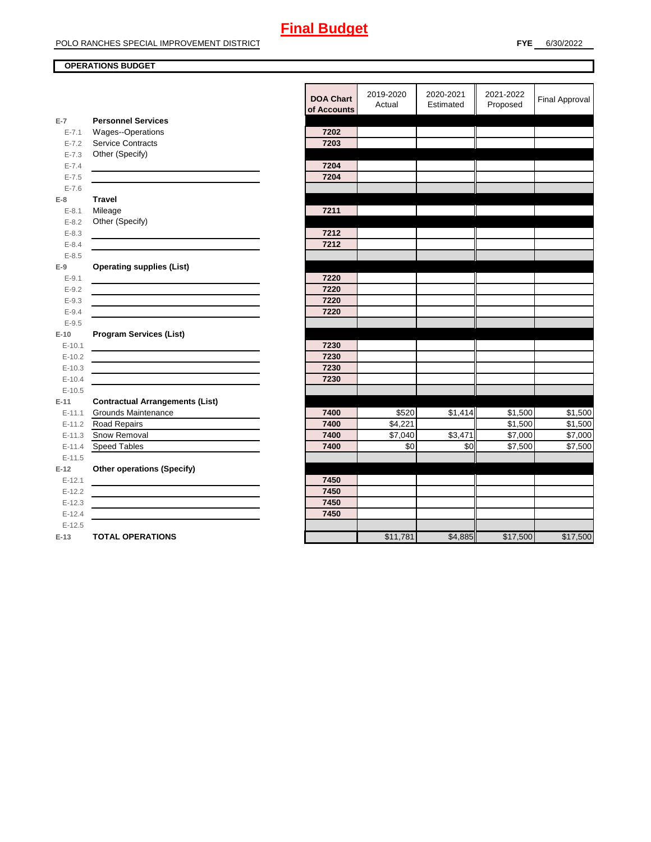## **OPERATIONS BUDGET**

|           |                                                           | <b>DOA Chart</b><br>of Accounts | <b>ZU19-ZUZU</b><br>Actual | <b>2020-2021</b><br>Estimated | 2021-2022<br>Proposed | <b>Final Approval</b> |
|-----------|-----------------------------------------------------------|---------------------------------|----------------------------|-------------------------------|-----------------------|-----------------------|
| $E-7$     | <b>Personnel Services</b>                                 |                                 |                            |                               |                       |                       |
| $E - 7.1$ | Wages--Operations                                         | 7202                            |                            |                               |                       |                       |
| $E - 7.2$ | Service Contracts                                         | 7203                            |                            |                               |                       |                       |
| $E - 7.3$ | Other (Specify)                                           |                                 |                            |                               |                       |                       |
| $E - 7.4$ |                                                           | 7204                            |                            |                               |                       |                       |
| $E - 7.5$ |                                                           | 7204                            |                            |                               |                       |                       |
| $E - 7.6$ |                                                           |                                 |                            |                               |                       |                       |
| $E-8$     | <b>Travel</b>                                             |                                 |                            |                               |                       |                       |
| $E - 8.1$ | Mileage                                                   | 7211                            |                            |                               |                       |                       |
| $E - 8.2$ | Other (Specify)                                           |                                 |                            |                               |                       |                       |
| $E - 8.3$ | <u> 1989 - Johann Barnett, fransk politiker (d. 1989)</u> | 7212                            |                            |                               |                       |                       |
| $E - 8.4$ |                                                           | 7212                            |                            |                               |                       |                       |
| $E - 8.5$ |                                                           |                                 |                            |                               |                       |                       |
| $E-9$     | <b>Operating supplies (List)</b>                          |                                 |                            |                               |                       |                       |
| $E - 9.1$ |                                                           | 7220                            |                            |                               |                       |                       |
| $E-9.2$   |                                                           | 7220                            |                            |                               |                       |                       |
| $E-9.3$   |                                                           | 7220                            |                            |                               |                       |                       |
| $E - 9.4$ |                                                           | 7220                            |                            |                               |                       |                       |
| $E - 9.5$ |                                                           |                                 |                            |                               |                       |                       |
| $E-10$    | <b>Program Services (List)</b>                            |                                 |                            |                               |                       |                       |
| $E-10.1$  |                                                           | 7230                            |                            |                               |                       |                       |
| $E-10.2$  |                                                           | 7230                            |                            |                               |                       |                       |
| $E-10.3$  |                                                           | 7230                            |                            |                               |                       |                       |
| $E-10.4$  |                                                           | 7230                            |                            |                               |                       |                       |
| $E-10.5$  |                                                           |                                 |                            |                               |                       |                       |
| $E-11$    | <b>Contractual Arrangements (List)</b>                    |                                 |                            |                               |                       |                       |
| $E-11.1$  | <b>Grounds Maintenance</b>                                | 7400                            | \$520                      | \$1,414                       | \$1,500               | \$1,500               |
| $E-11.2$  | <b>Road Repairs</b>                                       | 7400                            | \$4,221                    |                               | \$1,500               | \$1,500               |
| $E-11.3$  | Snow Removal                                              | 7400                            | \$7,040                    | \$3,471                       | \$7,000               | \$7,000               |
| $E-11.4$  | Speed Tables                                              | 7400                            | \$0                        | \$0                           | \$7,500               | $\overline{$}7,500$   |
| $E-11.5$  |                                                           |                                 |                            |                               |                       |                       |
| $E-12$    | <b>Other operations (Specify)</b>                         |                                 |                            |                               |                       |                       |
| $E-12.1$  |                                                           | 7450                            |                            |                               |                       |                       |
| $E-12.2$  |                                                           | 7450                            |                            |                               |                       |                       |
| $E-12.3$  |                                                           | 7450                            |                            |                               |                       |                       |
| $E-12.4$  |                                                           | 7450                            |                            |                               |                       |                       |
| $E-12.5$  |                                                           |                                 |                            |                               |                       |                       |
| E-13      | <b>TOTAL OPERATIONS</b>                                   |                                 | \$11,781                   | \$4,885                       | \$17,500              | \$17,500              |
|           |                                                           |                                 |                            |                               |                       |                       |

| <b>DOA Chart</b><br>of Accounts | 2019-2020<br>Actual | 2020-2021<br>Estimated | 2021-2022<br>Proposed | Final Approval |
|---------------------------------|---------------------|------------------------|-----------------------|----------------|
|                                 |                     |                        |                       |                |
| 7202                            |                     |                        |                       |                |
| 7203                            |                     |                        |                       |                |
|                                 |                     |                        |                       |                |
| 7204                            |                     |                        |                       |                |
| 7204                            |                     |                        |                       |                |
|                                 |                     |                        |                       |                |
|                                 |                     |                        |                       |                |
| 7211                            |                     |                        |                       |                |
|                                 |                     |                        |                       |                |
| 7212                            |                     |                        |                       |                |
| 7212                            |                     |                        |                       |                |
|                                 |                     |                        |                       |                |
|                                 |                     |                        |                       |                |
| 7220                            |                     |                        |                       |                |
| 7220                            |                     |                        |                       |                |
| 7220                            |                     |                        |                       |                |
| 7220                            |                     |                        |                       |                |
|                                 |                     |                        |                       |                |
|                                 |                     |                        |                       |                |
| 7230                            |                     |                        |                       |                |
| 7230                            |                     |                        |                       |                |
| 7230                            |                     |                        |                       |                |
| 7230                            |                     |                        |                       |                |
|                                 |                     |                        |                       |                |
|                                 |                     |                        |                       |                |
| 7400                            | \$520               | \$1,414                | \$1,500               | \$1,500        |
| 7400                            | \$4,221             |                        | \$1,500               | \$1,500        |
| 7400                            | \$7,040             | \$3,471                | \$7,000               | \$7,000        |
| 7400                            | \$0                 | \$0                    | \$7,500               | \$7,500        |
|                                 |                     |                        |                       |                |
|                                 |                     |                        |                       |                |
| 7450                            |                     |                        |                       |                |
| 7450                            |                     |                        |                       |                |
| 7450                            |                     |                        |                       |                |
| 7450                            |                     |                        |                       |                |
|                                 |                     |                        |                       |                |
|                                 | \$11,781            | \$4,885                | \$17,500              | \$17,500       |
|                                 |                     |                        |                       |                |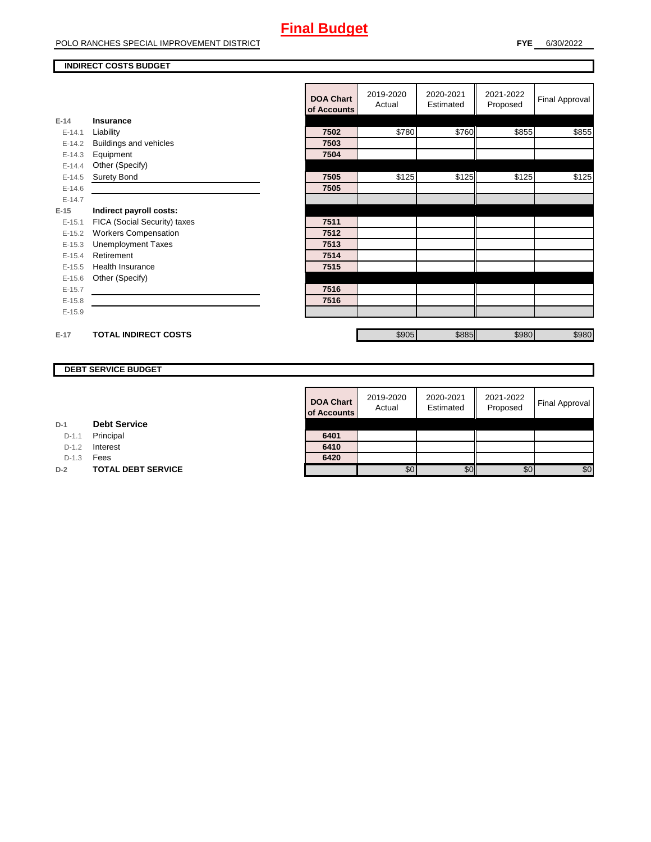### **INDIRECT COSTS BUDGET**

|          |                               | <b>DOA Chart</b><br>of Accounts | 2019-2020<br>Actual | 2020-2021<br>Estimated | 2021-2022<br>Proposed | <b>Final Approval</b> |
|----------|-------------------------------|---------------------------------|---------------------|------------------------|-----------------------|-----------------------|
| $E-14$   | Insurance                     |                                 |                     |                        |                       |                       |
| $E-14.1$ | Liability                     | 7502                            | \$780               | \$760                  | \$855                 | \$855                 |
| $E-14.2$ | <b>Buildings and vehicles</b> | 7503                            |                     |                        |                       |                       |
| $E-14.3$ | Equipment                     | 7504                            |                     |                        |                       |                       |
| $E-14.4$ | Other (Specify)               |                                 |                     |                        |                       |                       |
| $E-14.5$ | Surety Bond                   | 7505                            | \$125               | \$125                  | \$125                 | \$125                 |
| $E-14.6$ |                               | 7505                            |                     |                        |                       |                       |
| $E-14.7$ |                               |                                 |                     |                        |                       |                       |
| $E-15$   | Indirect payroll costs:       |                                 |                     |                        |                       |                       |
| $E-15.1$ | FICA (Social Security) taxes  | 7511                            |                     |                        |                       |                       |
| $E-15.2$ | <b>Workers Compensation</b>   | 7512                            |                     |                        |                       |                       |
| $E-15.3$ | <b>Unemployment Taxes</b>     | 7513                            |                     |                        |                       |                       |
| $E-15.4$ | Retirement                    | 7514                            |                     |                        |                       |                       |
| $E-15.5$ | <b>Health Insurance</b>       | 7515                            |                     |                        |                       |                       |
| $E-15.6$ | Other (Specify)               |                                 |                     |                        |                       |                       |
| $E-15.7$ |                               | 7516                            |                     |                        |                       |                       |
| $E-15.8$ |                               | 7516                            |                     |                        |                       |                       |
| $E-15.9$ |                               |                                 |                     |                        |                       |                       |
|          |                               |                                 |                     |                        |                       |                       |
| $E-17$   | <b>TOTAL INDIRECT COSTS</b>   |                                 | \$905               | \$885                  | \$980                 | \$980                 |

## **DEBT SERVICE BUDGET**

**D-2 TOTAL DEBT SERVICE** 

**D-1 Debt Service**D-1.1 Principal D-1.2 **Interest** D-1.3 **Fees** 

| <b>DOA Chart</b><br>of Accounts | 2019-2020<br>Actual | 2020-2021<br>Estimated | 2021-2022<br>Proposed | <b>Final Approval</b> |
|---------------------------------|---------------------|------------------------|-----------------------|-----------------------|
|                                 |                     |                        |                       |                       |
| 6401                            |                     |                        |                       |                       |
| 6410                            |                     |                        |                       |                       |
| 6420                            |                     |                        |                       |                       |
|                                 | \$0                 |                        | \$0                   | \$0                   |